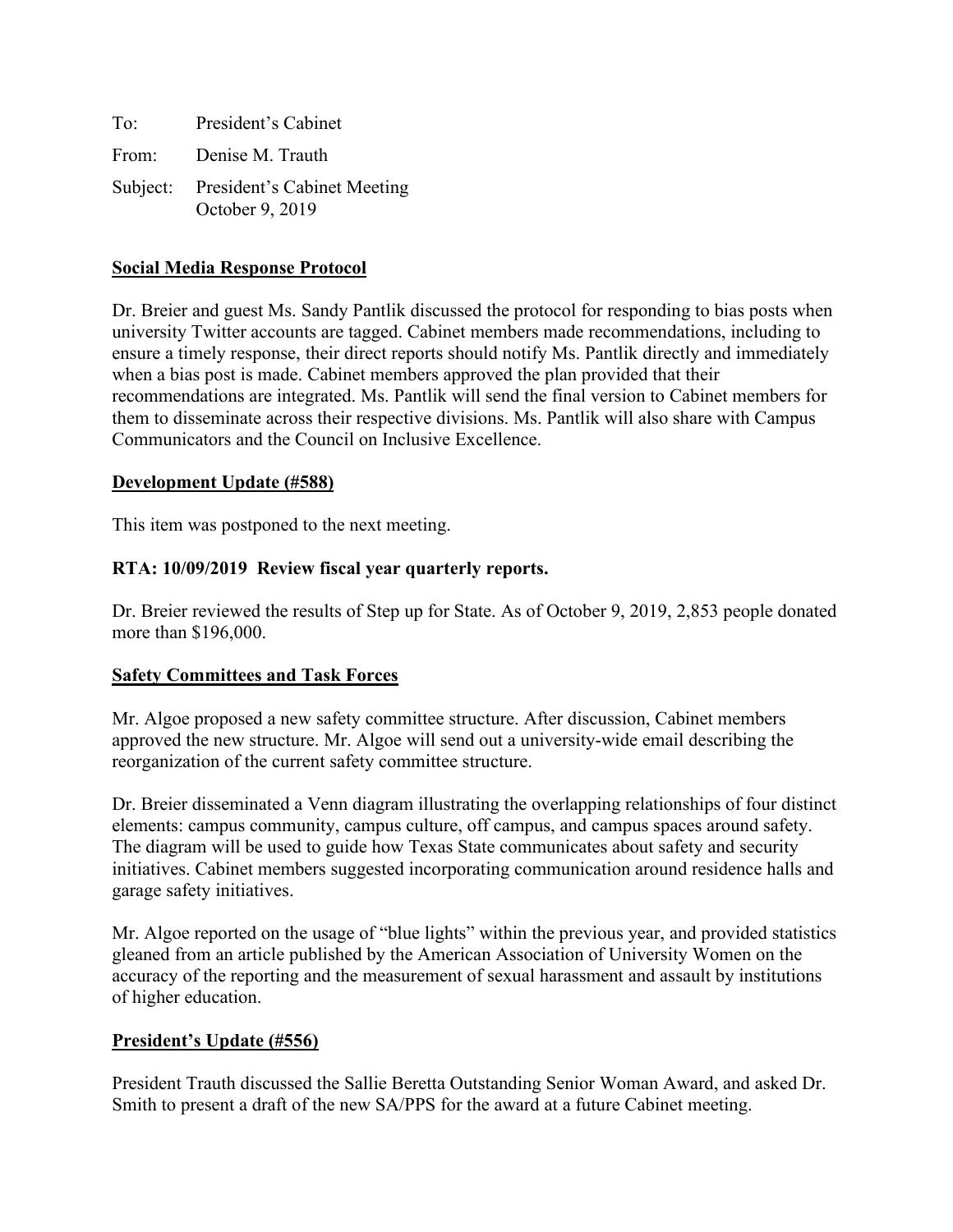| To: | President's Cabinet                                     |
|-----|---------------------------------------------------------|
|     | From: Denise M. Trauth                                  |
|     | Subject: President's Cabinet Meeting<br>October 9, 2019 |

## **Social Media Response Protocol**

Dr. Breier and guest Ms. Sandy Pantlik discussed the protocol for responding to bias posts when university Twitter accounts are tagged. Cabinet members made recommendations, including to ensure a timely response, their direct reports should notify Ms. Pantlik directly and immediately when a bias post is made. Cabinet members approved the plan provided that their recommendations are integrated. Ms. Pantlik will send the final version to Cabinet members for them to disseminate across their respective divisions. Ms. Pantlik will also share with Campus Communicators and the Council on Inclusive Excellence.

#### **Development Update (#588)**

This item was postponed to the next meeting.

## **RTA: 10/09/2019 Review fiscal year quarterly reports.**

Dr. Breier reviewed the results of Step up for State. As of October 9, 2019, 2,853 people donated more than \$196,000.

#### **Safety Committees and Task Forces**

Mr. Algoe proposed a new safety committee structure. After discussion, Cabinet members approved the new structure. Mr. Algoe will send out a university-wide email describing the reorganization of the current safety committee structure.

Dr. Breier disseminated a Venn diagram illustrating the overlapping relationships of four distinct elements: campus community, campus culture, off campus, and campus spaces around safety. The diagram will be used to guide how Texas State communicates about safety and security initiatives. Cabinet members suggested incorporating communication around residence halls and garage safety initiatives.

Mr. Algoe reported on the usage of "blue lights" within the previous year, and provided statistics gleaned from an article published by the American Association of University Women on the accuracy of the reporting and the measurement of sexual harassment and assault by institutions of higher education.

#### **President's Update (#556)**

President Trauth discussed the Sallie Beretta Outstanding Senior Woman Award, and asked Dr. Smith to present a draft of the new SA/PPS for the award at a future Cabinet meeting.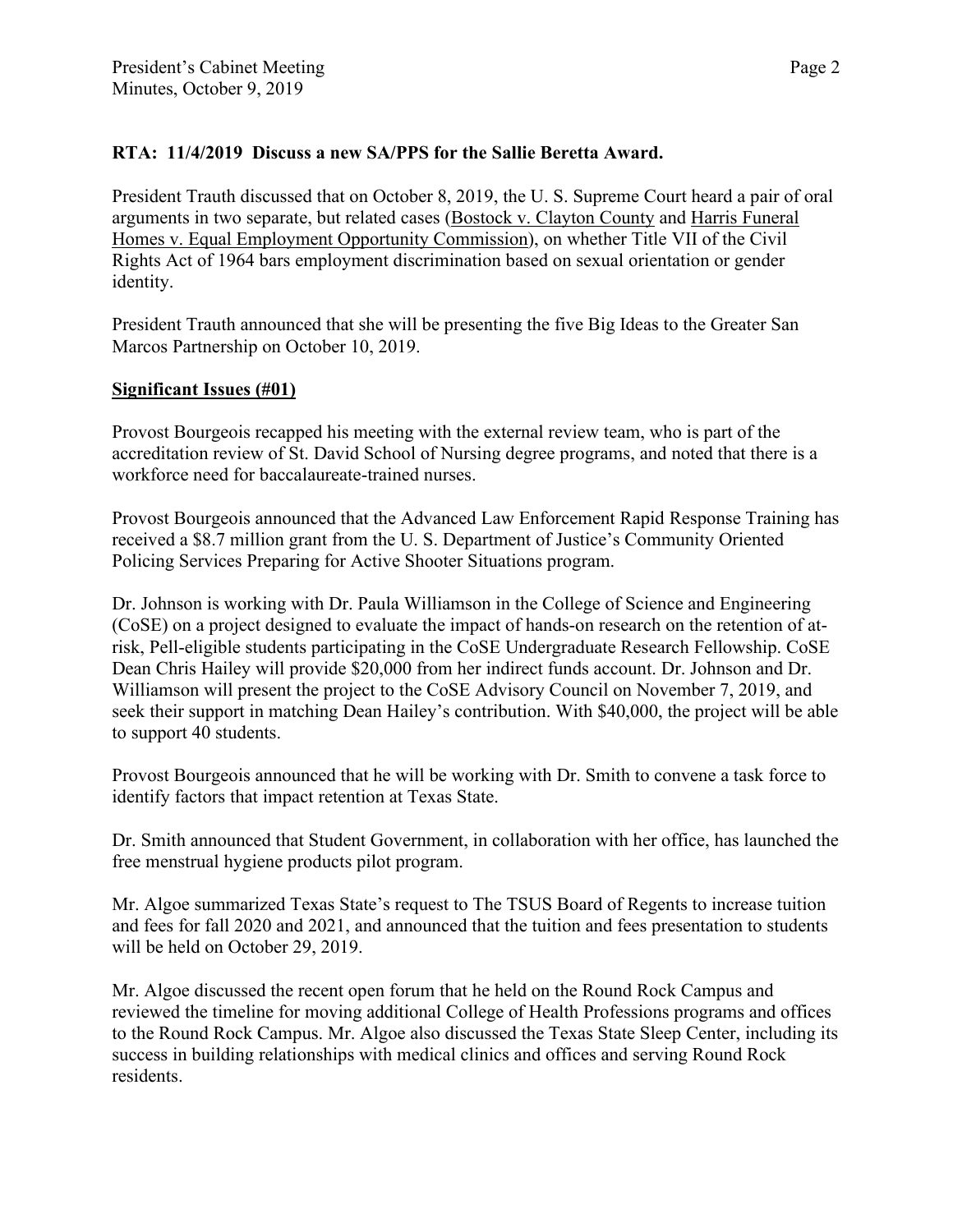# **RTA: 11/4/2019 Discuss a new SA/PPS for the Sallie Beretta Award.**

President Trauth discussed that on October 8, 2019, the U. S. Supreme Court heard a pair of oral arguments in two separate, but related cases (Bostock v. Clayton County and Harris Funeral Homes v. Equal Employment Opportunity Commission), on whether Title VII of the Civil Rights Act of 1964 bars employment discrimination based on sexual orientation or gender identity.

President Trauth announced that she will be presenting the five Big Ideas to the Greater San Marcos Partnership on October 10, 2019.

## **Significant Issues (#01)**

Provost Bourgeois recapped his meeting with the external review team, who is part of the accreditation review of St. David School of Nursing degree programs, and noted that there is a workforce need for baccalaureate-trained nurses.

Provost Bourgeois announced that the Advanced Law Enforcement Rapid Response Training has received a \$8.7 million grant from the U. S. Department of Justice's Community Oriented Policing Services Preparing for Active Shooter Situations program.

Dr. Johnson is working with Dr. Paula Williamson in the College of Science and Engineering (CoSE) on a project designed to evaluate the impact of hands-on research on the retention of atrisk, Pell-eligible students participating in the CoSE Undergraduate Research Fellowship. CoSE Dean Chris Hailey will provide \$20,000 from her indirect funds account. Dr. Johnson and Dr. Williamson will present the project to the CoSE Advisory Council on November 7, 2019, and seek their support in matching Dean Hailey's contribution. With \$40,000, the project will be able to support 40 students.

Provost Bourgeois announced that he will be working with Dr. Smith to convene a task force to identify factors that impact retention at Texas State.

Dr. Smith announced that Student Government, in collaboration with her office, has launched the free menstrual hygiene products pilot program.

Mr. Algoe summarized Texas State's request to The TSUS Board of Regents to increase tuition and fees for fall 2020 and 2021, and announced that the tuition and fees presentation to students will be held on October 29, 2019.

Mr. Algoe discussed the recent open forum that he held on the Round Rock Campus and reviewed the timeline for moving additional College of Health Professions programs and offices to the Round Rock Campus. Mr. Algoe also discussed the Texas State Sleep Center, including its success in building relationships with medical clinics and offices and serving Round Rock residents.